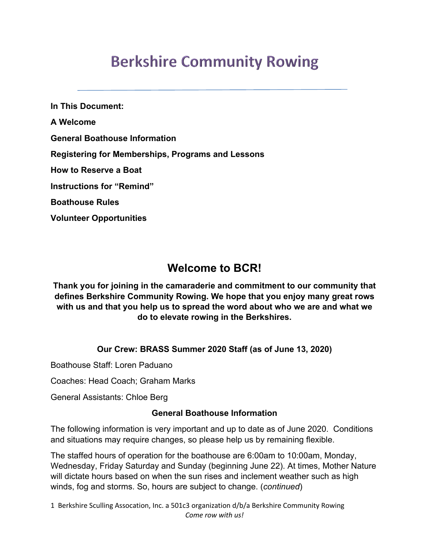# **Berkshire Community Rowing**

**In This Document: A Welcome General Boathouse Information Registering for Memberships, Programs and Lessons How to Reserve a Boat Instructions for "Remind" Boathouse Rules Volunteer Opportunities**

# **Welcome to BCR!**

**Thank you for joining in the camaraderie and commitment to our community that defines Berkshire Community Rowing. We hope that you enjoy many great rows with us and that you help us to spread the word about who we are and what we do to elevate rowing in the Berkshires.**

#### **Our Crew: BRASS Summer 2020 Staff (as of June 13, 2020)**

Boathouse Staff: Loren Paduano

Coaches: Head Coach; Graham Marks

General Assistants: Chloe Berg

#### **General Boathouse Information**

The following information is very important and up to date as of June 2020. Conditions and situations may require changes, so please help us by remaining flexible.

The staffed hours of operation for the boathouse are 6:00am to 10:00am, Monday, Wednesday, Friday Saturday and Sunday (beginning June 22). At times, Mother Nature will dictate hours based on when the sun rises and inclement weather such as high winds, fog and storms. So, hours are subject to change. (*continued*)

1 Berkshire Sculling Assocation, Inc. a 501c3 organization d/b/a Berkshire Community Rowing *Come row with us!*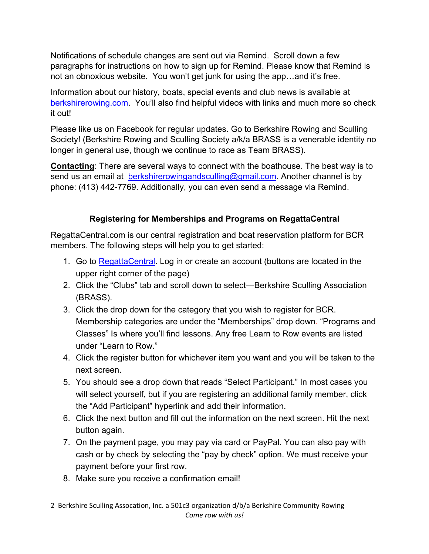Notifications of schedule changes are sent out via Remind. Scroll down a few paragraphs for instructions on how to sign up for Remind. Please know that Remind is not an obnoxious website. You won't get junk for using the app…and it's free.

Information about our history, boats, special events and club news is available at berkshirerowing.com. You'll also find helpful videos with links and much more so check it out!

Please like us on Facebook for regular updates. Go to Berkshire Rowing and Sculling Society! (Berkshire Rowing and Sculling Society a/k/a BRASS is a venerable identity no longer in general use, though we continue to race as Team BRASS).

**Contacting**: There are several ways to connect with the boathouse. The best way is to send us an email at **berkshirerowingandsculling@gmail.com**. Another channel is by phone: (413) 442-7769. Additionally, you can even send a message via Remind.

### **Registering for Memberships and Programs on RegattaCentral**

RegattaCentral.com is our central registration and boat reservation platform for BCR members. The following steps will help you to get started:

- 1. Go to RegattaCentral. Log in or create an account (buttons are located in the upper right corner of the page)
- 2. Click the "Clubs" tab and scroll down to select—Berkshire Sculling Association (BRASS).
- 3. Click the drop down for the category that you wish to register for BCR. Membership categories are under the "Memberships" drop down. "Programs and Classes" Is where you'll find lessons. Any free Learn to Row events are listed under "Learn to Row."
- 4. Click the register button for whichever item you want and you will be taken to the next screen.
- 5. You should see a drop down that reads "Select Participant." In most cases you will select yourself, but if you are registering an additional family member, click the "Add Participant" hyperlink and add their information.
- 6. Click the next button and fill out the information on the next screen. Hit the next button again.
- 7. On the payment page, you may pay via card or PayPal. You can also pay with cash or by check by selecting the "pay by check" option. We must receive your payment before your first row.
- 8. Make sure you receive a confirmation email!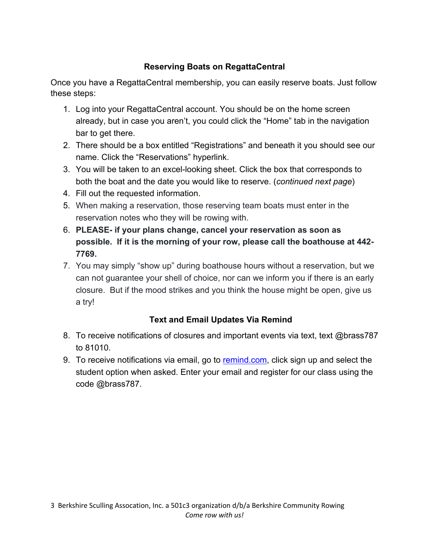### **Reserving Boats on RegattaCentral**

Once you have a RegattaCentral membership, you can easily reserve boats. Just follow these steps:

- 1. Log into your RegattaCentral account. You should be on the home screen already, but in case you aren't, you could click the "Home" tab in the navigation bar to get there.
- 2. There should be a box entitled "Registrations" and beneath it you should see our name. Click the "Reservations" hyperlink.
- 3. You will be taken to an excel-looking sheet. Click the box that corresponds to both the boat and the date you would like to reserve. (*continued next page*)
- 4. Fill out the requested information.
- 5. When making a reservation, those reserving team boats must enter in the reservation notes who they will be rowing with.
- 6. **PLEASE- if your plans change, cancel your reservation as soon as possible. If it is the morning of your row, please call the boathouse at 442- 7769.**
- 7. You may simply "show up" during boathouse hours without a reservation, but we can not guarantee your shell of choice, nor can we inform you if there is an early closure. But if the mood strikes and you think the house might be open, give us a try!

## **Text and Email Updates Via Remind**

- 8. To receive notifications of closures and important events via text, text @brass787 to 81010.
- 9. To receive notifications via email, go to remind.com, click sign up and select the student option when asked. Enter your email and register for our class using the code @brass787.